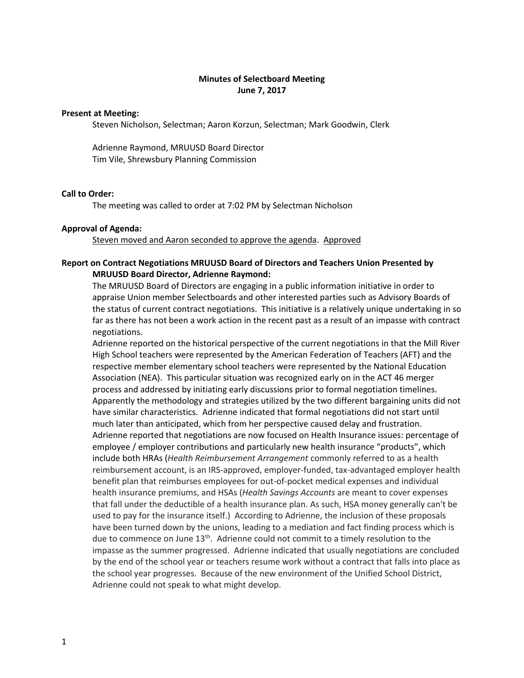## **Minutes of Selectboard Meeting June 7, 2017**

#### **Present at Meeting:**

Steven Nicholson, Selectman; Aaron Korzun, Selectman; Mark Goodwin, Clerk

Adrienne Raymond, MRUUSD Board Director Tim Vile, Shrewsbury Planning Commission

## **Call to Order:**

The meeting was called to order at 7:02 PM by Selectman Nicholson

### **Approval of Agenda:**

Steven moved and Aaron seconded to approve the agenda. Approved

# **Report on Contract Negotiations MRUUSD Board of Directors and Teachers Union Presented by MRUUSD Board Director, Adrienne Raymond:**

The MRUUSD Board of Directors are engaging in a public information initiative in order to appraise Union member Selectboards and other interested parties such as Advisory Boards of the status of current contract negotiations. This initiative is a relatively unique undertaking in so far as there has not been a work action in the recent past as a result of an impasse with contract negotiations.

Adrienne reported on the historical perspective of the current negotiations in that the Mill River High School teachers were represented by the American Federation of Teachers (AFT) and the respective member elementary school teachers were represented by the National Education Association (NEA). This particular situation was recognized early on in the ACT 46 merger process and addressed by initiating early discussions prior to formal negotiation timelines. Apparently the methodology and strategies utilized by the two different bargaining units did not have similar characteristics. Adrienne indicated that formal negotiations did not start until much later than anticipated, which from her perspective caused delay and frustration. Adrienne reported that negotiations are now focused on Health Insurance issues: percentage of employee / employer contributions and particularly new health insurance "products", which include both HRAs (*Health Reimbursement Arrangement* commonly referred to as a health reimbursement account, is an IRS-approved, employer-funded, tax-advantaged employer health benefit plan that reimburses employees for out-of-pocket medical expenses and individual health insurance premiums, and HSAs (*Health Savings Accounts* are meant to cover expenses that fall under the deductible of a health insurance plan. As such, HSA money generally can't be used to pay for the insurance itself.) According to Adrienne, the inclusion of these proposals have been turned down by the unions, leading to a mediation and fact finding process which is due to commence on June  $13<sup>th</sup>$ . Adrienne could not commit to a timely resolution to the impasse as the summer progressed. Adrienne indicated that usually negotiations are concluded by the end of the school year or teachers resume work without a contract that falls into place as the school year progresses. Because of the new environment of the Unified School District, Adrienne could not speak to what might develop.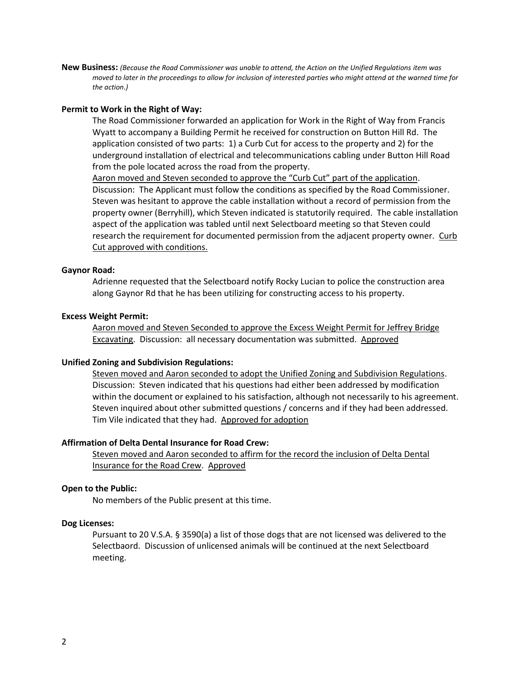**New Business:** *(Because the Road Commissioner was unable to attend, the Action on the Unified Regulations item was moved to later in the proceedings to allow for inclusion of interested parties who might attend at the warned time for the action.)*

### **Permit to Work in the Right of Way:**

The Road Commissioner forwarded an application for Work in the Right of Way from Francis Wyatt to accompany a Building Permit he received for construction on Button Hill Rd. The application consisted of two parts: 1) a Curb Cut for access to the property and 2) for the underground installation of electrical and telecommunications cabling under Button Hill Road from the pole located across the road from the property.

Aaron moved and Steven seconded to approve the "Curb Cut" part of the application. Discussion: The Applicant must follow the conditions as specified by the Road Commissioner. Steven was hesitant to approve the cable installation without a record of permission from the property owner (Berryhill), which Steven indicated is statutorily required. The cable installation aspect of the application was tabled until next Selectboard meeting so that Steven could research the requirement for documented permission from the adjacent property owner. Curb Cut approved with conditions.

#### **Gaynor Road:**

Adrienne requested that the Selectboard notify Rocky Lucian to police the construction area along Gaynor Rd that he has been utilizing for constructing access to his property.

#### **Excess Weight Permit:**

Aaron moved and Steven Seconded to approve the Excess Weight Permit for Jeffrey Bridge Excavating. Discussion: all necessary documentation was submitted. Approved

#### **Unified Zoning and Subdivision Regulations:**

Steven moved and Aaron seconded to adopt the Unified Zoning and Subdivision Regulations. Discussion: Steven indicated that his questions had either been addressed by modification within the document or explained to his satisfaction, although not necessarily to his agreement. Steven inquired about other submitted questions / concerns and if they had been addressed. Tim Vile indicated that they had. Approved for adoption

## **Affirmation of Delta Dental Insurance for Road Crew:**

Steven moved and Aaron seconded to affirm for the record the inclusion of Delta Dental Insurance for the Road Crew. Approved

#### **Open to the Public:**

No members of the Public present at this time.

#### **Dog Licenses:**

Pursuant to 20 V.S.A. § 3590(a) a list of those dogs that are not licensed was delivered to the Selectbaord. Discussion of unlicensed animals will be continued at the next Selectboard meeting.